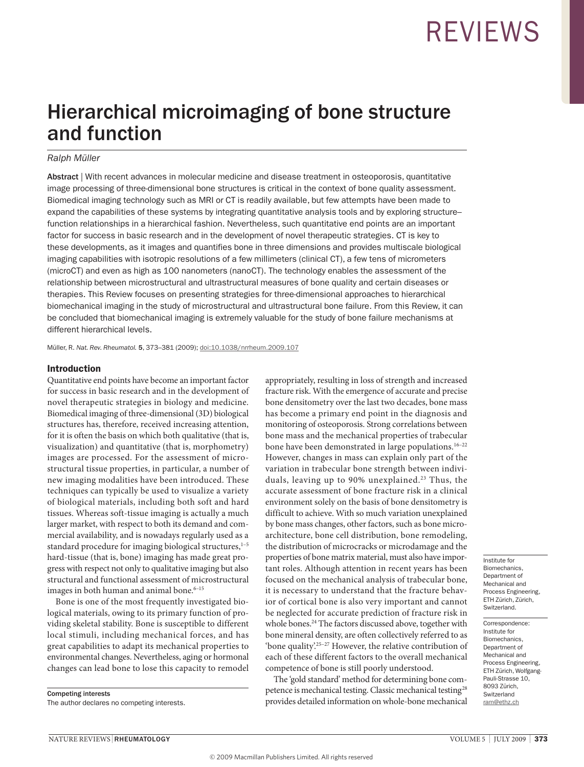## hierarchical microimaging of bone structure and function

#### *Ralph Müller*

abstract | with recent advances in molecular medicine and disease treatment in osteoporosis, quantitative image processing of three-dimensional bone structures is critical in the context of bone quality assessment. Biomedical imaging technology such as Mri or CT is readily available, but few attempts have been made to expand the capabilities of these systems by integrating quantitative analysis tools and by exploring structure– function relationships in a hierarchical fashion. Nevertheless, such quantitative end points are an important factor for success in basic research and in the development of novel therapeutic strategies. CT is key to these developments, as it images and quantifies bone in three dimensions and provides multiscale biological imaging capabilities with isotropic resolutions of a few millimeters (clinical CT), a few tens of micrometers (microCT) and even as high as 100 nanometers (nanoCT). The technology enables the assessment of the relationship between microstructural and ultrastructural measures of bone quality and certain diseases or therapies. This Review focuses on presenting strategies for three-dimensional approaches to hierarchical biomechanical imaging in the study of microstructural and ultrastructural bone failure. From this Review, it can be concluded that biomechanical imaging is extremely valuable for the study of bone failure mechanisms at different hierarchical levels.

Müller, r. *Nat. Rev. Rheumatol.* 5, 373–381 (2009); [doi:10.1038/nrrheum.2009.107](http://www.nature.com/doifinder/10.1038/nrrheum.2009.107)

#### Introduction

Quantitative end points have become an important factor for success in basic research and in the development of novel therapeutic strategies in biology and medicine. Biomedical imaging of three-dimensional (3D) biological structures has, therefore, received increasing attention, for it is often the basis on which both qualitative (that is, visualization) and quantitative (that is, morphometry) images are processed. For the assessment of microstructural tissue properties, in particular, a number of new imaging modalities have been introduced. These techniques can typically be used to visualize a variety of biological materials, including both soft and hard tissues. whereas soft-tissue imaging is actually a much larger market, with respect to both its demand and commercial availability, and is nowadays regularly used as a standard procedure for imaging biological structures,<sup>1-5</sup> hard- tissue (that is, bone) imaging has made great progress with respect not only to qualitative imaging but also structural and functional assessment of microstructural images in both human and animal bone.<sup>6-15</sup>

Bone is one of the most frequently investigated biological materials, owing to its primary function of providing skeletal stability. Bone is susceptible to different local stimuli, including mechanical forces, and has great capabilities to adapt its mechanical properties to environmental changes. Nevertheless, aging or hormonal changes can lead bone to lose this capacity to remodel

Competing interests The author declares no competing interests. appropriately, resulting in loss of strength and increased fracture risk. with the emergence of accurate and precise bone densitometry over the last two decades, bone mass has become a primary end point in the diagnosis and monitoring of osteoporosis. strong correlations between bone mass and the mechanical properties of trabecular bone have been demonstrated in large populations.<sup>16-22</sup> However, changes in mass can explain only part of the variation in trabecular bone strength between individuals, leaving up to 90% unexplained.<sup>23</sup> Thus, the accurate assessment of bone fracture risk in a clinical environment solely on the basis of bone densitometry is difficult to achieve. with so much variation unexplained by bone mass changes, other factors, such as bone microarchitecture, bone cell distribution, bone remodeling, the distribution of microcracks or microdamage and the properties of bone matrix material, must also have important roles. although attention in recent years has been focused on the mechanical analysis of trabecular bone, it is necessary to understand that the fracture behavior of cortical bone is also very important and cannot be neglected for accurate prediction of fracture risk in whole bones.<sup>24</sup> The factors discussed above, together with bone mineral density, are often collectively referred to as 'bone quality'.25–27 However, the relative contribution of each of these different factors to the overall mechanical competence of bone is still poorly understood.

The 'gold standard' method for determining bone competence is mechanical testing. Classic mechanical testing28 provides detailed information on whole-bone mechanical

institute for Biomechanics, Department of Mechanical and Process Engineering, eTH Zürich, Zürich, **Switzerland** 

Correspondence: institute for Biomechanics, Department of Mechanical and Process Engineering, eTH Zürich, wolfgang-Pauli-Strasse 10, 8093 Zürich, **Switzerland** [ram@ethz.ch](mailto:ram@ethz.ch)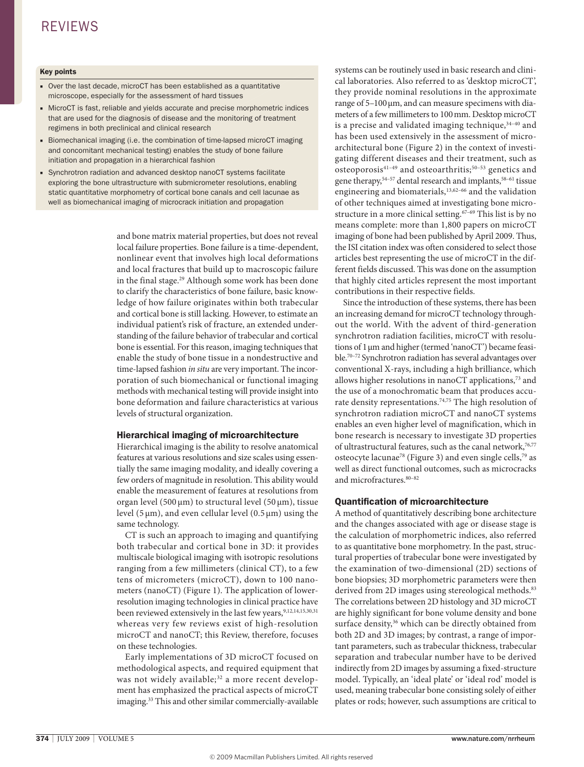#### Key points

- Over the last decade, microCT has been established as a quantitative microscope, especially for the assessment of hard tissues
- MicroCT is fast, reliable and yields accurate and precise morphometric indices that are used for the diagnosis of disease and the monitoring of treatment regimens in both preclinical and clinical research
- Biomechanical imaging (i.e. the combination of time-lapsed microCT imaging and concomitant mechanical testing) enables the study of bone failure initiation and propagation in a hierarchical fashion
- synchrotron radiation and advanced desktop nanoCT systems facilitate exploring the bone ultrastructure with submicrometer resolutions, enabling static quantitative morphometry of cortical bone canals and cell lacunae as well as biomechanical imaging of microcrack initiation and propagation

and bone matrix material properties, but does not reveal local failure properties. Bone failure is a time-dependent, nonlinear event that involves high local deformations and local fractures that build up to macroscopic failure in the final stage.<sup>29</sup> Although some work has been done to clarify the characteristics of bone failure, basic knowledge of how failure originates within both trabecular and cortical bone is still lacking. However, to estimate an individual patient's risk of fracture, an extended understanding of the failure behavior of trabecular and cortical bone is essential. For this reason, imaging techniques that enable the study of bone tissue in a nondestructive and time-lapsed fashion *in situ* are very important. The incorporation of such biomechanical or functional imaging methods with mechanical testing will provide insight into bone deformation and failure characteristics at various levels of structural organization.

#### Hierarchical imaging of microarchitecture

Hierarchical imaging is the ability to resolve anatomical features at various resolutions and size scales using essentially the same imaging modality, and ideally covering a few orders of magnitude in resolution. This ability would enable the measurement of features at resolutions from organ level (500  $\mu$ m) to structural level (50  $\mu$ m), tissue level (5 μm), and even cellular level (0.5 μm) using the same technology.

CT is such an approach to imaging and quantifying both trabecular and cortical bone in 3D: it provides multiscale biological imaging with isotropic resolutions ranging from a few millimeters (clinical CT), to a few tens of micrometers (microCT), down to 100 nanometers ( $nanoCT$ ) (Figure 1). The application of lowerresolution imaging technologies in clinical practice have been reviewed extensively in the last few years, 9,12,14,15,30,31 whereas very few reviews exist of high-resolution microCT and nanoCT; this Review, therefore, focuses on these technologies.

Early implementations of 3D microCT focused on methodological aspects, and required equipment that was not widely available;<sup>32</sup> a more recent development has emphasized the practical aspects of microCT imaging.<sup>33</sup> This and other similar commercially-available systems can be routinely used in basic research and clinical laboratories. Also referred to as 'desktop microCT', they provide nominal resolutions in the approximate range of 5–100 μm, and can measure specimens with diameters of a few millimeters to 100 mm. Desktop microCT is a precise and validated imaging technique, 34-40 and has been used extensively in the assessment of microarchitectural bone (Figure 2) in the context of investigating different diseases and their treatment, such as  $osteoporosis^{41-49}$  and  $osteoarthritis;$ <sup>50-53</sup> genetics and gene therapy,54–57 dental research and implants,58–61 tissue engineering and biomaterials,<sup>13,62-66</sup> and the validation of other techniques aimed at investigating bone microstructure in a more clinical setting.<sup>67-69</sup> This list is by no means complete: more than 1,800 papers on microCT imaging of bone had been published by April 2009. Thus, the ISI citation index was often considered to select those articles best representing the use of microCT in the different fields discussed. This was done on the assumption that highly cited articles represent the most important contributions in their respective fields.

since the introduction of these systems, there has been an increasing demand for microCT technology throughout the world. with the advent of third- generation synchrotron radiation facilities, microCT with resolutions of 1 μm and higher (termed 'nanoCT') became feasible.70–72 synchrotron radiation has several advantages over conventional X-rays, including a high brilliance, which allows higher resolutions in nanoCT applications, $73$  and the use of a monochromatic beam that produces accurate density representations.<sup>74,75</sup> The high resolution of synchrotron radiation microCT and nanoCT systems enables an even higher level of magnification, which in bone research is necessary to investigate 3D properties of ultrastructural features, such as the canal network,<sup>76,77</sup> osteocyte lacunae78 (Figure 3) and even single cells,79 as well as direct functional outcomes, such as microcracks and microfractures.80–82

#### Quantification of microarchitecture

a method of quantitatively describing bone architecture and the changes associated with age or disease stage is the calculation of morphometric indices, also referred to as quantitative bone morphometry. in the past, structural properties of trabecular bone were investigated by the examination of two-dimensional (2D) sections of bone biopsies; 3D morphometric parameters were then derived from 2D images using stereological methods.<sup>83</sup> The correlations between 2D histology and 3D microCT are highly significant for bone volume density and bone surface density,<sup>36</sup> which can be directly obtained from both 2D and 3D images; by contrast, a range of important parameters, such as trabecular thickness, trabecular separation and trabecular number have to be derived indirectly from 2D images by assuming a fixed-structure model. Typically, an 'ideal plate' or 'ideal rod' model is used, meaning trabecular bone consisting solely of either plates or rods; however, such assumptions are critical to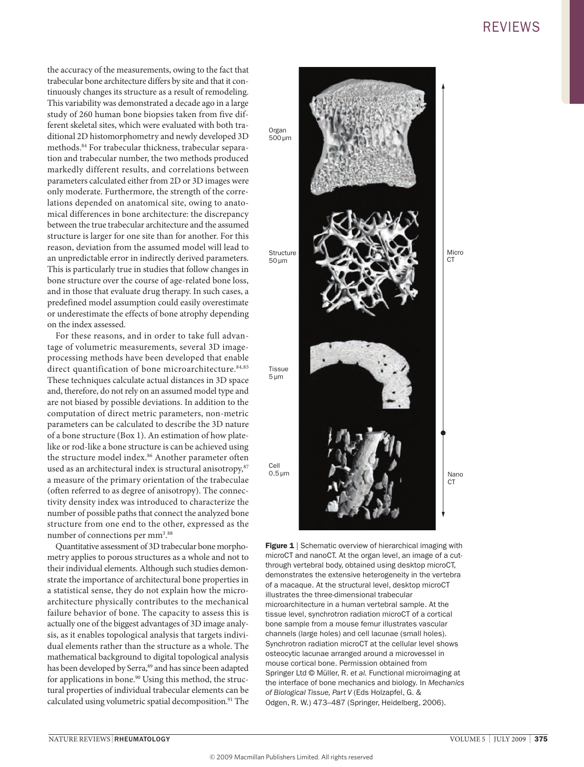the accuracy of the measurements, owing to the fact that trabecular bone architecture differs by site and that it continuously changes its structure as a result of remodeling. This variability was demonstrated a decade ago in a large study of 260 human bone biopsies taken from five different skeletal sites, which were evaluated with both traditional 2D histomorphometry and newly developed 3D methods.84 For trabecular thickness, trabecular separation and trabecular number, the two methods produced markedly different results, and correlations between parameters calculated either from 2D or 3D images were only moderate. Furthermore, the strength of the correlations depended on anatomical site, owing to anatomical differences in bone architecture: the discrepancy between the true trabecular architecture and the assumed structure is larger for one site than for another. For this reason, deviation from the assumed model will lead to an unpredictable error in indirectly derived parameters. This is particularly true in studies that follow changes in bone structure over the course of age-related bone loss, and in those that evaluate drug therapy. in such cases, a predefined model assumption could easily overestimate or underestimate the effects of bone atrophy depending on the index assessed.

For these reasons, and in order to take full advantage of volumetric measurements, several 3D image processing methods have been developed that enable direct quantification of bone microarchitecture. 84,85 These techniques calculate actual distances in 3D space and, therefore, do not rely on an assumed model type and are not biased by possible deviations. in addition to the computation of direct metric parameters, non-metric parameters can be calculated to describe the 3D nature of a bone structure (Box 1). An estimation of how platelike or rod-like a bone structure is can be achieved using the structure model index.<sup>86</sup> Another parameter often used as an architectural index is structural anisotropy, 87 a measure of the primary orientation of the trabeculae (often referred to as degree of anisotropy). The connectivity density index was introduced to characterize the number of possible paths that connect the analyzed bone structure from one end to the other, expressed as the number of connections per mm<sup>3</sup>.88</sup>

Quantitative assessment of 3D trabecular bone morphometry applies to porous structures as a whole and not to their individual elements. Although such studies demonstrate the importance of architectural bone properties in a statistical sense, they do not explain how the microarchitecture physically contributes to the mechanical failure behavior of bone. The capacity to assess this is actually one of the biggest advantages of 3D image analysis, as it enables topological analysis that targets individual elements rather than the structure as a whole. The mathematical background to digital topological analysis has been developed by Serra,<sup>89</sup> and has since been adapted for applications in bone.<sup>90</sup> Using this method, the structural properties of individual trabecular elements can be calculated using volumetric spatial decomposition.<sup>91</sup> The



Figure 1 | Schematic overview of hierarchical imaging with microCT and nanoCT. At the organ level, an image of a cutthrough vertebral body, obtained using desktop microCT, demonstrates the extensive heterogeneity in the vertebra of a macaque. At the structural level, desktop microCT illustrates the three-dimensional trabecular microarchitecture in a human vertebral sample. At the tissue level, synchrotron radiation microCT of a cortical bone sample from a mouse femur illustrates vascular channels (large holes) and cell lacunae (small holes). synchrotron radiation microCT at the cellular level shows osteocytic lacunae arranged around a microvessel in mouse cortical bone. Permission obtained from Springer Ltd © Müller, R. et al. Functional microimaging at the interface of bone mechanics and biology. in *Mechanics*  of Biological Tissue, Part V (Eds Holzapfel, G. & Odgen, R. W.) 473-487 (Springer, Heidelberg, 2006).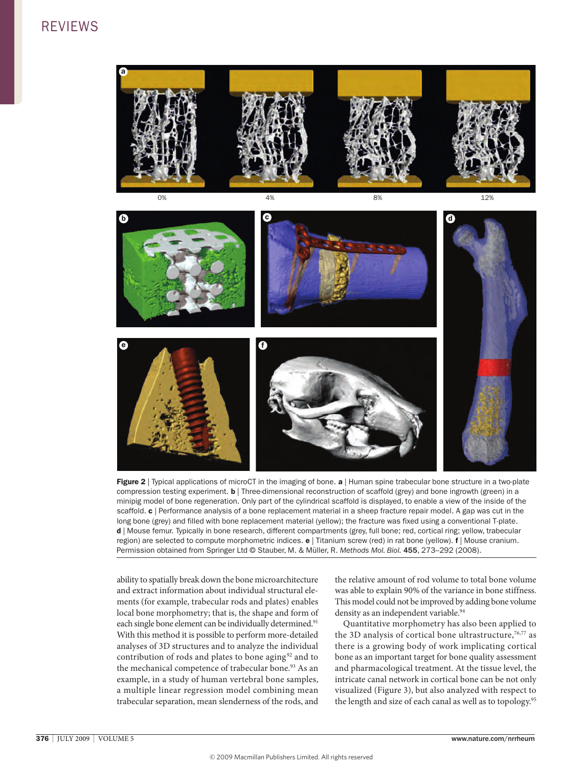

Figure 2 | Typical applications of microCT in the imaging of bone. a | Human spine trabecular bone structure in a two-plate compression testing experiment. **b** | Three-dimensional reconstruction of scaffold (grey) and bone ingrowth (green) in a minipig model of bone regeneration. Only part of the cylindrical scaffold is displayed, to enable a view of the inside of the scaffold. c | Performance analysis of a bone replacement material in a sheep fracture repair model. A gap was cut in the long bone (grey) and filled with bone replacement material (yellow); the fracture was fixed using a conventional T-plate. d | Mouse femur. Typically in bone research, different compartments (grey, full bone; red, cortical ring; yellow, trabecular region) are selected to compute morphometric indices. e | Titanium screw (red) in rat bone (yellow). f | Mouse cranium. Permission obtained from Springer Ltd @ Stauber, M. & Müller, R. Methods Mol. Biol. 455, 273-292 (2008).

ability to spatially break down the bone microarchitecture and extract information about individual structural elements (for example, trabecular rods and plates) enables local bone morphometry; that is, the shape and form of each single bone element can be individually determined.<sup>91</sup> with this method it is possible to perform more-detailed analyses of 3D structures and to analyze the individual contribution of rods and plates to bone aging<sup>92</sup> and to the mechanical competence of trabecular bone.<sup>93</sup> As an example, in a study of human vertebral bone samples, a multiple linear regression model combining mean trabecular separation, mean slenderness of the rods, and the relative amount of rod volume to total bone volume was able to explain 90% of the variance in bone stiffness. This model could not be improved by adding bone volume density as an independent variable.<sup>94</sup>

Quantitative morphometry has also been applied to the 3D analysis of cortical bone ultrastructure,<sup>76,77</sup> as there is a growing body of work implicating cortical bone as an important target for bone quality assessment and pharmacological treatment. at the tissue level, the intricate canal network in cortical bone can be not only visualized (Figure 3), but also analyzed with respect to the length and size of each canal as well as to topology.<sup>95</sup>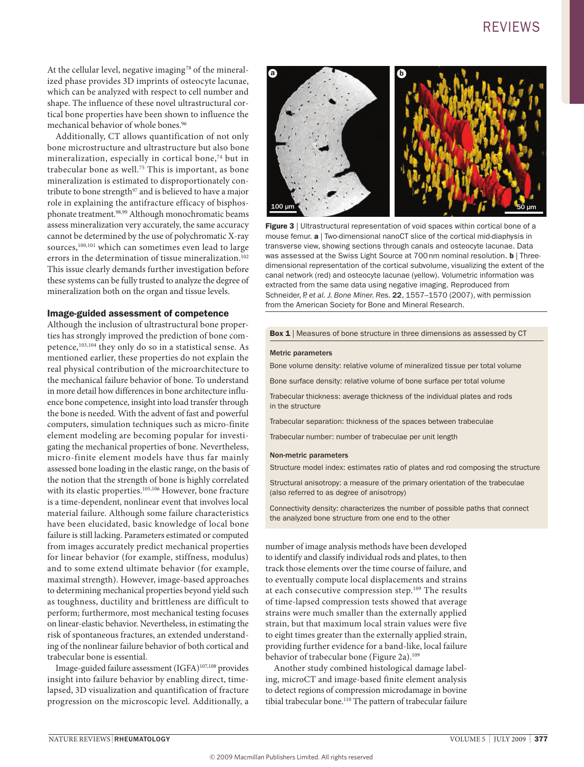At the cellular level, negative imaging<sup>78</sup> of the mineralized phase provides 3D imprints of osteocyte lacunae, which can be analyzed with respect to cell number and shape. The influence of these novel ultrastructural cortical bone properties have been shown to influence the mechanical behavior of whole bones.<sup>96</sup>

Additionally, CT allows quantification of not only bone microstructure and ultrastructure but also bone mineralization, especially in cortical bone,<sup>74</sup> but in trabecular bone as well.<sup>75</sup> This is important, as bone mineralization is estimated to disproportionately contribute to bone strength<sup>97</sup> and is believed to have a major role in explaining the antifracture efficacy of bisphosphonate treatment.<sup>98,99</sup> Although monochromatic beams assess mineralization very accurately, the same accuracy cannot be determined by the use of polychromatic X-ray sources,<sup>100,101</sup> which can sometimes even lead to large errors in the determination of tissue mineralization.<sup>102</sup> This issue clearly demands further investigation before these systems can be fully trusted to analyze the degree of mineralization both on the organ and tissue levels.

#### Image-guided assessment of competence

although the inclusion of ultrastructural bone properties has strongly improved the prediction of bone competence,103,104 they only do so in a statistical sense. as mentioned earlier, these properties do not explain the real physical contribution of the microarchitecture to the mechanical failure behavior of bone. To understand in more detail how differences in bone architecture influence bone competence, insight into load transfer through the bone is needed. with the advent of fast and powerful computers, simulation techniques such as micro-finite element modeling are becoming popular for investigating the mechanical properties of bone. Nevertheless, micro-finite element models have thus far mainly assessed bone loading in the elastic range, on the basis of the notion that the strength of bone is highly correlated with its elastic properties.<sup>105,106</sup> However, bone fracture is a time-dependent, nonlinear event that involves local ma terial failure. although some failure characteristics have been elucidated, basic knowledge of local bone failure is still lacking. Parameters estimated or computed from images accurately predict mechanical properties for linear behavior (for example, stiffness, modulus) and to some extend ultimate behavior (for example, maximal strength). However, image-based approaches to determining mechanical properties beyond yield such as toughness, ductility and brittleness are difficult to perform; furthermore, most mechanical testing focuses on linear-elastic behavior. nevertheless, in estimating the risk of spontaneous fractures, an extended understanding of the nonlinear failure behavior of both cortical and trabecular bone is essential.

 $\emph{Image-guide}$  failure assessment (IGFA)<sup>107,108</sup> provides insight into failure behavior by enabling direct, timelapsed, 3D visualization and quantification of fracture progression on the microscopic level. Additionally, a



Figure 3 | Ultrastructural representation of void spaces within cortical bone of a mouse femur. a | Two-dimensional nanoCT slice of the cortical mid-diaphysis in transverse view, showing sections through canals and osteocyte lacunae. Data was assessed at the Swiss Light Source at 700 nm nominal resolution. **b** | Threedimensional representation of the cortical subvolume, visualizing the extent of the canal network (red) and osteocyte lacunae (yellow). volumetric information was extracted from the same data using negative imaging. Reproduced from schneider, P. *et al. J. Bone Miner. Res.* 22, 1557–1570 (2007), with permission from the American Society for Bone and Mineral Research.

#### Box 1 | Measures of bone structure in three dimensions as assessed by CT

#### Metric parameters

Bone volume density: relative volume of mineralized tissue per total volume

Bone surface density: relative volume of bone surface per total volume

Trabecular thickness: average thickness of the individual plates and rods in the structure

Trabecular separation: thickness of the spaces between trabeculae

Trabecular number: number of trabeculae per unit length

#### Non-metric parameters

structure model index: estimates ratio of plates and rod composing the structure

structural anisotropy: a measure of the primary orientation of the trabeculae (also referred to as degree of anisotropy)

Connectivity density: characterizes the number of possible paths that connect the analyzed bone structure from one end to the other

number of image analysis methods have been developed to identify and classify individual rods and plates, to then track those elements over the time course of failure, and to eventually compute local displacements and strains at each consecutive compression step.<sup>109</sup> The results of time-lapsed compression tests showed that average strains were much smaller than the externally applied strain, but that maximum local strain values were five to eight times greater than the externally applied strain, providing further evidence for a band-like, local failure behavior of trabecular bone (Figure 2a).<sup>109</sup>

another study combined histological damage labeling, microCT and image-based finite element analysis to detect regions of compression microdamage in bovine tibial trabecular bone.<sup>110</sup> The pattern of trabecular failure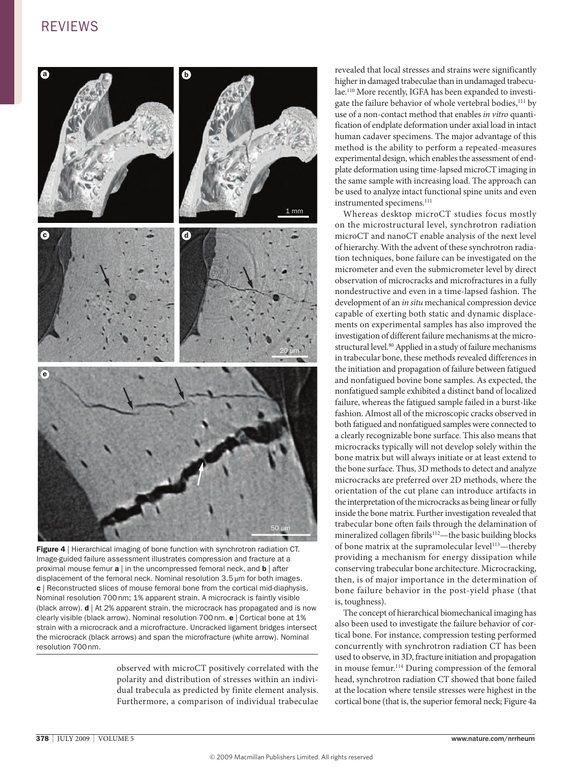

Figure 4 | Hierarchical imaging of bone function with synchrotron radiation CT. image-guided failure assessment illustrates compression and fracture at a proximal mouse femur  $a \mid$  in the uncompressed femoral neck, and  $b \mid$  after displacement of the femoral neck. Nominal resolution 3.5 μm for both images. c | Reconstructed slices of mouse femoral bone from the cortical mid-diaphysis. Nominal resolution 700 nm; 1% apparent strain. A microcrack is faintly visible (black arrow). d | At 2% apparent strain, the microcrack has propagated and is now clearly visible (black arrow). Nominal resolution 700 nm. e | Cortical bone at 1% strain with a microcrack and a microfracture. Uncracked ligament bridges intersect the microcrack (black arrows) and span the microfracture (white arrow). Nominal resolution 700 nm.

observed with microCT positively correlated with the polarity and distribution of stresses within an individual trabecula as predicted by finite element analysis. Furthermore, a comparison of individual trabeculae revealed that local stresses and strains were significantly higher in damaged trabeculae than in undamaged trabeculae.<sup>110</sup> More recently, IGFA has been expanded to investigate the failure behavior of whole vertebral bodies,<sup>111</sup> by use of a non-contact method that enables *in vitro* quantification of endplate deformation under axial load in intact human cadaver specimens. The major advantage of this method is the ability to perform a repeated- measures experimental design, which enables the assessment of endplate deformation using time-lapsed microCT imaging in the same sample with increasing load. The approach can be used to analyze intact functional spine units and even instrumented specimens.<sup>111</sup>

Whereas desktop microCT studies focus mostly on the microstructural level, synchrotron radiation microCT and nanoCT enable analysis of the next level of hierarchy. With the advent of these synchrotron radiation techniques, bone failure can be investigated on the micrometer and even the submicrometer level by direct observation of microcracks and microfractures in a fully nondestructive and even in a time-lapsed fashion. The development of an *in situ* mechanical compression device capable of exerting both static and dynamic displacements on experimental samples has also improved the investigation of different failure mechanisms at the microstructural level.<sup>80</sup> Applied in a study of failure mechanisms in trabecular bone, these methods revealed differences in the initiation and propagation of failure between fatigued and nonfatigued bovine bone samples. As expected, the nonfatigued sample exhibited a distinct band of localized failure, whereas the fatigued sample failed in a burst-like fashion. Almost all of the microscopic cracks observed in both fatigued and nonfatigued samples were connected to a clearly recognizable bone surface. This also means that microcracks typically will not develop solely within the bone matrix but will always initiate or at least extend to the bone surface. Thus, 3D methods to detect and analyze microcracks are preferred over 2D methods, where the orientation of the cut plane can introduce artifacts in the interpretation of the microcracks as being linear or fully inside the bone matrix. Further investigation revealed that trabecular bone often fails through the delamination of mineralized collagen fibrils<sup>112</sup>-the basic building blocks of bone matrix at the supramolecular level<sup>113</sup>—thereby providing a mechanism for energy dissipation while conserving trabecular bone architecture. microcracking, then, is of major importance in the determination of bone failure behavior in the post-yield phase (that is, toughness).

The concept of hierarchical biomechanical imaging has also been used to investigate the failure behavior of cortical bone. For instance, compression testing performed concurrently with synchrotron radiation CT has been used to observe, in 3D, fracture initiation and propagation in mouse femur.<sup>114</sup> During compression of the femoral head, synchrotron radiation CT showed that bone failed at the location where tensile stresses were highest in the cortical bone (that is, the superior femoral neck; Figure 4a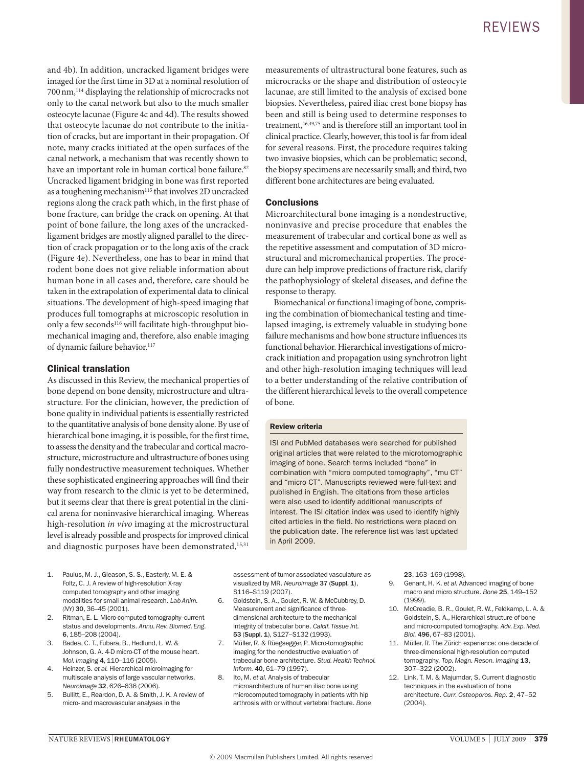and 4b). in addition, uncracked ligament bridges were imaged for the first time in 3D at a nominal resolution of 700 nm,114 displaying the relationship of microcracks not only to the canal network but also to the much smaller osteocyte lacunae (Figure 4c and 4d). The results showed that osteocyte lacunae do not contribute to the initiation of cracks, but are important in their propagation. of note, many cracks initiated at the open surfaces of the canal network, a mechanism that was recently shown to have an important role in human cortical bone failure.<sup>82</sup> Uncracked ligament bridging in bone was first reported as a toughening mechanism<sup>115</sup> that involves 2D uncracked regions along the crack path which, in the first phase of bone fracture, can bridge the crack on opening. At that point of bone failure, the long axes of the uncrackedligament bridges are mostly aligned parallel to the direction of crack propagation or to the long axis of the crack (Figure 4e). Nevertheless, one has to bear in mind that rodent bone does not give reliable information about human bone in all cases and, therefore, care should be taken in the extrapolation of experimental data to clinical situations. The development of high-speed imaging that produces full tomographs at microscopic resolution in only a few seconds<sup>116</sup> will facilitate high-throughput biomechanical imaging and, therefore, also enable imaging of dynamic failure behavior.<sup>117</sup>

#### Clinical translation

As discussed in this Review, the mechanical properties of bone depend on bone density, microstructure and ultrastructure. For the clinician, however, the prediction of bone quality in individual patients is essentially restricted to the quantitative analysis of bone density alone. By use of hierarchical bone imaging, it is possible, for the first time, to assess the density and the trabecular and cortical macrostructure, microstructure and ultrastructure of bones using fully nondestructive measurement techniques. Whether these sophisticated engineering approaches will find their way from research to the clinic is yet to be determined, but it seems clear that there is great potential in the clinical arena for noninvasive hierarchical imaging. Whereas high-resolution *in vivo* imaging at the microstructural level is already possible and prospects for improved clinical and diagnostic purposes have been demonstrated,<sup>15,31</sup>

- 1. Paulus, M. J., Gleason, S. S., Easterly, M. E. & Foltz, C. J. A review of high-resolution X-ray computed tomography and other imaging modalities for small animal research. *Lab Anim. (NY)* 30, 36–45 (2001).
- 2. Ritman, E. L. Micro-computed tomography-current status and developments. *Annu. Rev. Biomed. Eng.* 6, 185–208 (2004).
- 3. Badea, C. T., Fubara, B., Hedlund, L. w. & Johnson, G. A. 4-D micro-CT of the mouse heart. *Mol. Imaging* 4, 110–116 (2005).
- 4. Heinzer, s. *et al.* Hierarchical microimaging for multiscale analysis of large vascular networks. *Neuroimage* 32, 626–636 (2006).
- 5. Bullitt, E., Reardon, D. A. & Smith, J. K. A review of micro- and macrovascular analyses in the

measurements of ultrastructural bone features, such as microcracks or the shape and distribution of osteocyte lacunae, are still limited to the analysis of excised bone biopsies. nevertheless, paired iliac crest bone biopsy has been and still is being used to determine responses to treatment,  $46,49,75$  and is therefore still an important tool in clinical practice. Clearly, however, this tool is far from ideal for several reasons. First, the procedure requires taking two invasive biopsies, which can be problematic; second, the biopsy specimens are neces sarily small; and third, two different bone architectures are being evaluated.

#### **Conclusions**

microarchitectural bone imaging is a nondestructive, noninvasive and precise procedure that enables the measure ment of trabecular and cortical bone as well as the repetitive assessment and computation of 3D microstructural and micromechanical properties. The procedure can help improve predictions of fracture risk, clarify the pathophysiology of skeletal diseases, and define the response to therapy.

Biomechanical or functional imaging of bone, comprising the combination of biomechanical testing and timelapsed imaging, is extremely valuable in studying bone failure mechanisms and how bone structure influences its functional behavior. Hierarchical investigations of microcrack initiation and propagation using synchrotron light and other high-resolution imaging techniques will lead to a better understanding of the relative contribution of the different hierarchical levels to the overall competence of bone.

#### Review criteria

ISI and PubMed databases were searched for published original articles that were related to the microtomographic imaging of bone. Search terms included "bone" in combination with "micro computed tomography", "mu CT" and "micro CT". Manuscripts reviewed were full-text and published in English. The citations from these articles were also used to identify additional manuscripts of interest. The ISI citation index was used to identify highly cited articles in the field. No restrictions were placed on the publication date. The reference list was last updated in April 2009.

assessment of tumor-associated vasculature as visualized by Mr. *Neuroimage* 37 (Suppl. 1), s116–s119 (2007).

- Goldstein, S. A., Goulet, R. W. & McCubbrey, D. Measurement and significance of threedimensional architecture to the mechanical integrity of trabecular bone. *Calcif. Tissue Int.* 53 (Suppl. 1), S127-S132 (1993).
- 7. Müller, R. & Rüegsegger, P. Micro-tomographic imaging for the nondestructive evaluation of trabecular bone architecture. *Stud. Health Technol. Inform.* 40, 61–79 (1997).
- 8. ito, M. *et al.* Analysis of trabecular microarchitecture of human iliac bone using microcomputed tomography in patients with hip arthrosis with or without vertebral fracture. *Bone*

23, 163–169 (1998).

- 9. Genant, H. K. *et al.* Advanced imaging of bone macro and micro structure. *Bone* 25, 149–152 (1999).
- 10. McCreadie, B. R., Goulet, R. W., Feldkamp, L. A. & Goldstein, s. A., Hierarchical structure of bone and micro-computed tomography. *Adv. Exp. Med. Biol.* 496, 67–83 (2001).
- 11. Müller, R. The Zürich experience: one decade of three-dimensional high-resolution computed tomography. *Top. Magn. Reson. Imaging* 13, 307–322 (2002).
- 12. Link, T. M. & Majumdar, S. Current diagnostic techniques in the evaluation of bone architecture. *Curr. Osteoporos. Rep.* 2, 47–52 (2004).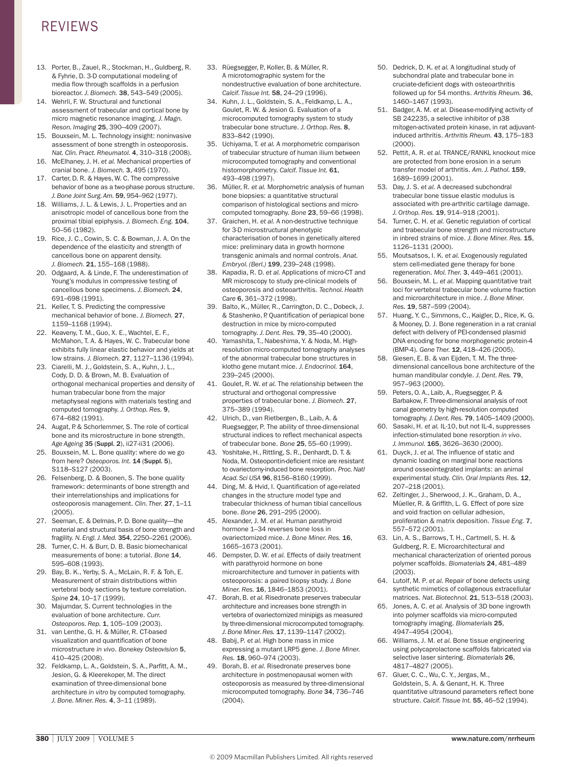- 13. Porter, B., Zauel, R., Stockman, H., Guldberg, R. & Fyhrie, D. 3-D computational modeling of media flow through scaffolds in a perfusion bioreactor. *J. Biomech.* 38, 543–549 (2005).
- 14. wehrli, F. w. structural and functional assessment of trabecular and cortical bone by micro magnetic resonance imaging. *J. Magn. Reson. Imaging* 25, 390–409 (2007).
- 15. Bouxsein, M. L. Technology insight: noninvasive assessment of bone strength in osteoporosis. *Nat. Clin. Pract. Rheumatol.* 4, 310–318 (2008).
- 16. Mcelhaney, J. H. *et al.* Mechanical properties of cranial bone. *J. Biomech.* 3, 495 (1970).
- 17. Carter, D. R. & Hayes, W. C. The compressive behavior of bone as a two-phase porous structure. *J. Bone Joint Surg. Am.* 59, 954–962 (1977).
- 18. williams, J. L. & Lewis, J. L. Properties and an anisotropic model of cancellous bone from the proximal tibial epiphysis. *J. Biomech. Eng.* 104, 50–56 (1982).
- 19. Rice, J. C., Cowin, S. C. & Bowman, J. A. On the dependence of the elasticity and strength of cancellous bone on apparent density. *J. Biomech.* 21, 155–168 (1988).
- 20. Odgaard, A. & Linde, F. The underestimation of Young's modulus in compressive testing of cancellous bone specimens. *J. Biomech.* 24, 691–698 (1991).
- 21. Keller, T. s. Predicting the compressive mechanical behavior of bone. *J. Biomech.* 27, 1159–1168 (1994).
- 22. Keaveny, T. M., Guo, X. e., wachtel, e. F., McMahon, T. A. & Hayes, w. C. Trabecular bone exhibits fully linear elastic behavior and yields at low strains. *J. Biomech.* 27, 1127–1136 (1994).
- 23. Ciarelli, M. J., Goldstein, s. A., Kuhn, J. L., Cody, D. D. & Brown, M. B. Evaluation of orthogonal mechanical properties and density of human trabecular bone from the major metaphyseal regions with materials testing and computed tomography. *J. Orthop. Res.* 9, 674–682 (1991).
- 24. Augat, P. & Schorlemmer, S. The role of cortical bone and its microstructure in bone strength. *Age Ageing* 35 (Suppl. 2), ii27-ii31 (2006).
- 25. Bouxsein, M. L. Bone quality: where do we go from here? Osteoporos. Int. 14 (Suppl. 5), s118–s127 (2003).
- 26. Felsenberg, D. & Boonen, S. The bone quality framework: determinants of bone strength and their interrelationships and implications for osteoporosis management. *Clin. Ther.* 27, 1–11 (2005).
- 27. Seeman, E. & Delmas, P. D. Bone quality-the material and structural basis of bone strength and fragility. *N. Engl. J. Med.* 354, 2250–2261 (2006).
- 28. Turner, C. H. & Burr, D. B. Basic biomechanical measurements of bone: a tutorial. *Bone* 14, 595–608 (1993).
- 29. Bay, B. K., Yerby, S. A., McLain, R. F. & Toh, E. Measurement of strain distributions within vertebral body sections by texture correlation. *Spine* 24, 10–17 (1999).
- 30. Majumdar, s. Current technologies in the evaluation of bone architecture. *Curr. Osteoporos. Rep.* 1, 105–109 (2003).
- 31. van Lenthe, G. H. & Müller, R. CT-based visualization and quantification of bone microstructure *in vivo*. *Bonekey Osteovision* 5, 410–425 (2008).
- 32. Feldkamp, L. A., Goldstein, S. A., Parfitt, A. M., Jesion, G. & Kleerekoper, M. The direct examination of three-dimensional bone architecture *in vitro* by computed tomography. *J. Bone. Miner. Res.* 4, 3–11 (1989).
- 33. Rüegsegger, P., Koller, B. & Müller, R. A microtomographic system for the nondestructive evaluation of bone architecture. *Calcif. Tissue Int.* 58, 24–29 (1996).
- 34. Kuhn, J. L., Goldstein, s. A., Feldkamp, L. A., Goulet, R. W. & Jesion G. Evaluation of a microcomputed tomography system to study trabecular bone structure. *J. Orthop. Res.* 8, 833–842 (1990).
- 35. Uchiyama, T. *et al.* A morphometric comparison of trabecular structure of human ilium between microcomputed tomography and conventional histomorphometry. *Calcif. Tissue Int.* 61, 493–498 (1997).
- 36. Müller, R. et al. Morphometric analysis of human bone biopsies: a quantitative structural comparison of histological sections and microcomputed tomography. *Bone* 23, 59–66 (1998).
- 37. Graichen, H. *et al.* A non-destructive technique for 3-D microstructural phenotypic characterisation of bones in genetically altered mice: preliminary data in growth hormone transgenic animals and normal controls. *Anat. Embryol. (Berl.)* 199, 239–248 (1998).
- 38. Kapadia, R. D. et al. Applications of micro-CT and MR microscopy to study pre-clinical models of osteoporosis and osteoarthritis. *Technol. Health Care* 6, 361–372 (1998).
- 39. Balto, K., Müller, R., Carrington, D. C., Dobeck, J. & stashenko, P. Quantification of periapical bone destruction in mice by micro-computed tomography. *J. Dent. Res.* 79, 35–40 (2000).
- 40. Yamashita, T., Nabeshima, Y. & Noda, M. Highresolution micro-computed tomography analyses of the abnormal trabecular bone structures in klotho gene mutant mice. *J. Endocrinol.* 164, 239–245 (2000).
- 41. Goulet, R. W. et al. The relationship between the structural and orthogonal compressive properties of trabecular bone. *J. Biomech.* 27, 375–389 (1994).
- 42. Ulrich, D., van Rietbergen, B., Laib, A. & Ruegsegger, P. The ability of three-dimensional structural indices to reflect mechanical aspects of trabecular bone. *Bone* 25, 55–60 (1999).
- 43. Yoshitake, H., Rittling, S. R., Denhardt, D. T. & Noda, M. Osteopontin-deficient mice are resistant to ovariectomy-induced bone resorption. *Proc. Natl Acad. Sci USA* 96, 8156–8160 (1999).
- 44. Ding, M. & Hvid, i. Quantification of age-related changes in the structure model type and trabecular thickness of human tibial cancellous bone. *Bone* 26, 291–295 (2000).
- 45. Alexander, J. M. *et al.* Human parathyroid hormone 1–34 reverses bone loss in ovariectomized mice. *J. Bone Miner. Res.* 16, 1665–1673 (2001).
- 46. Dempster, D. W. et al. Effects of daily treatment with parathyroid hormone on bone microarchitecture and turnover in patients with osteoporosis: a paired biopsy study. *J. Bone Miner. Res.* 16, 1846–1853 (2001).
- 47. Borah, B. et al. Risedronate preserves trabecular architecture and increases bone strength in vertebra of ovariectomized minipigs as measured by three-dimensional microcomputed tomography. *J. Bone Miner. Res.* 17, 1139–1147 (2002).
- 48. Babij, P. *et al.* High bone mass in mice expressing a mutant LrP5 gene. *J. Bone Miner. Res.* 18, 960–974 (2003).
- 49. Borah, B. et al. Risedronate preserves bone architecture in postmenopausal women with osteoporosis as measured by three-dimensional microcomputed tomography. *Bone* 34, 736–746 (2004).
- 50. Dedrick, D. K. *et al.* A longitudinal study of subchondral plate and trabecular bone in cruciate-deficient dogs with osteoarthritis followed up for 54 months. *Arthritis Rheum.* 36, 1460–1467 (1993).
- 51. Badger, A. M. *et al.* Disease-modifying activity of sB 242235, a selective inhibitor of p38 mitogen-activated protein kinase, in rat adjuvantinduced arthritis. *Arthritis Rheum.* 43, 175–183 (2000).
- 52. Pettit, A. R. et al. TRANCE/RANKL knockout mice are protected from bone erosion in a serum transfer model of arthritis. *Am. J. Pathol.* 159, 1689–1699 (2001).
- 53. Day, J. s. *et al.* A decreased subchondral trabecular bone tissue elastic modulus is associated with pre-arthritic cartilage damage. *J. Orthop. Res.* 19, 914–918 (2001).
- 54. Turner, C. H. *et al.* Genetic regulation of cortical and trabecular bone strength and microstructure in inbred strains of mice. *J. Bone Miner. Res.* 15, 1126–1131 (2000).
- 55. Moutsatsos, I. K. et al. Exogenously regulated stem cell-mediated gene therapy for bone regeneration. *Mol. Ther.* 3, 449–461 (2001).
- 56. Bouxsein, M. L. *et al.* Mapping quantitative trait loci for vertebral trabecular bone volume fraction and microarchitecture in mice. *J. Bone Miner. Res.* 19, 587–599 (2004).
- 57. Huang, Y. C., Simmons, C., Kaigler, D., Rice, K. G. & Mooney, D. J. Bone regeneration in a rat cranial defect with delivery of PEI-condensed plasmid DNA encoding for bone morphogenetic protein-4 (BMP-4). *Gene Ther.* 12, 418–426 (2005).
- 58. Giesen, E. B. & van Eijden, T. M. The threedimensional cancellous bone architecture of the human mandibular condyle. *J. Dent. Res.* 79, 957–963 (2000).
- 59. Peters, O. A., Laib, A., Ruegsegger, P. & Barbakow, F. Three-dimensional analysis of root canal geometry by high-resolution computed tomography. *J. Dent. Res.* 79, 1405–1409 (2000).
- 60. sasaki, H. *et al.* iL-10, but not iL-4, suppresses infection-stimulated bone resorption *in vivo*. *J. Immunol.* 165, 3626–3630 (2000).
- 61. Duyck, J. *et al.* The influence of static and dynamic loading on marginal bone reactions around osseointegrated implants: an animal experimental study. *Clin. Oral Implants Res.* 12, 207–218 (2001).
- 62. Zeltinger, J., sherwood, J. K., Graham, D. A., Müeller, R. & Griffith, L. G. Effect of pore size and void fraction on cellular adhesion, proliferation & matrix deposition. *Tissue Eng.* 7, 557–572 (2001).
- 63. Lin, A. s., Barrows, T. H., Cartmell, s. H. & Guldberg, R. E. Microarchitectural and mechanical characterization of oriented porous polymer scaffolds. *Biomaterials* 24, 481–489 (2003).
- 64. Lutolf, M. P. et al. Repair of bone defects using synthetic mimetics of collagenous extracellular matrices. *Nat. Biotechnol.* 21, 513–518 (2003).
- 65. Jones, A. C. *et al.* Analysis of 3D bone ingrowth into polymer scaffolds via micro-computed tomography imaging. *Biomaterials* 25, 4947–4954 (2004).
- 66. williams, J. M. *et al.* Bone tissue engineering using polycaprolactone scaffolds fabricated via selective laser sintering. *Biomaterials* 26, 4817–4827 (2005).
- 67. Gluer, C. C., wu, C. Y., Jergas, M., Goldstein, s. A. & Genant, H. K. Three quantitative ultrasound parameters reflect bone structure. *Calcif. Tissue Int.* 55, 46–52 (1994).